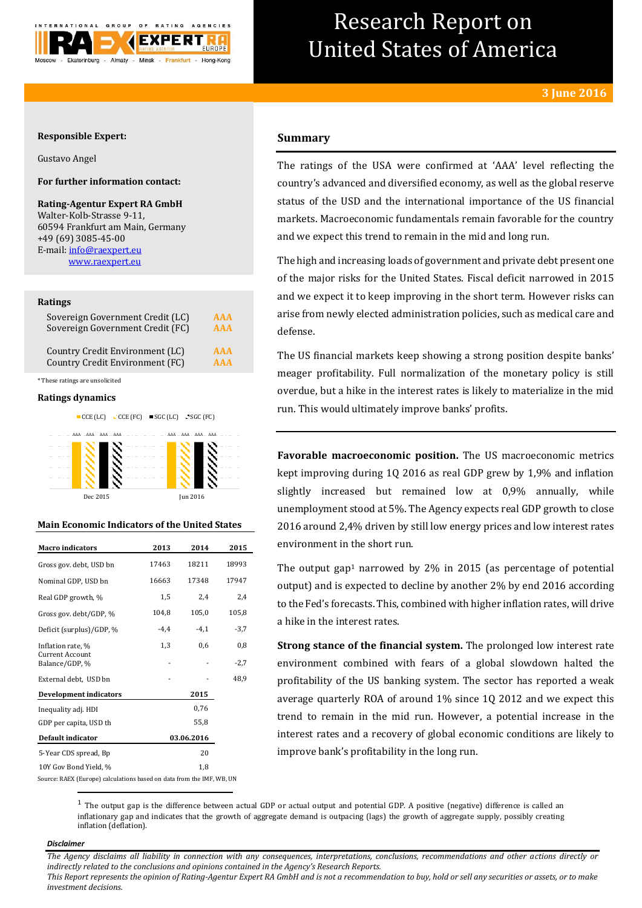

# Research Report on United States of America

### **Responsible Expert:**

Gustavo Angel

## **For further information contact:**

**Rating-Agentur Expert RA GmbH** Walter-Kolb-Strasse 9-11, 60594 Frankfurt am Main, Germany +49 (69) 3085-45-00 E-mail[: info@raexpert.eu](mailto:info@raexpert.eu) [www.raexpert.eu](http://raexpert.eu/)

#### **Ratings**

| Sovereign Government Credit (LC) | AAA        |
|----------------------------------|------------|
| Sovereign Government Credit (FC) | <b>AAA</b> |
| Country Credit Environment (LC)  | <b>AAA</b> |
| Country Credit Environment (FC)  | <b>AAA</b> |

\* These ratings are unsolicited

#### **Ratings dynamics**



### **Main Economic Indicators of the United States**

| <b>Macro indicators</b>                                               | 2013   | 2014       | 2015   |
|-----------------------------------------------------------------------|--------|------------|--------|
| Gross gov. debt, USD bn                                               | 17463  | 18211      | 18993  |
| Nominal GDP, USD bn                                                   | 16663  | 17348      | 17947  |
| Real GDP growth, %                                                    | 1,5    | 2,4        | 2,4    |
| Gross gov. debt/GDP, %                                                | 104,8  | 105,0      | 105,8  |
| Deficit (surplus)/GDP, %                                              | $-4,4$ | $-4,1$     | $-3,7$ |
| Inflation rate, %                                                     | 1,3    | 0,6        | 0,8    |
| Current Account<br>Balance/GDP, %                                     |        |            | -2,7   |
| External debt, USD bn                                                 |        |            | 48,9   |
| <b>Development indicators</b>                                         |        | 2015       |        |
| Inequality adj. HDI                                                   |        | 0,76       |        |
| GDP per capita, USD th                                                |        | 55,8       |        |
| Default indicator                                                     |        | 03.06.2016 |        |
| 5-Year CDS spread, Bp                                                 |        | 20         |        |
| 10Y Gov Bond Yield, %                                                 |        | 1,8        |        |
| Source: RAEX (Europe) calculations based on data from the IMF, WB, UN |        |            |        |

**Summary**

The ratings of the USA were confirmed at 'AAA' level reflecting the country's advanced and diversified economy, as well as the global reserve status of the USD and the international importance of the US financial markets. Macroeconomic fundamentals remain favorable for the country and we expect this trend to remain in the mid and long run.

The high and increasing loads of government and private debt present one of the major risks for the United States. Fiscal deficit narrowed in 2015 and we expect it to keep improving in the short term. However risks can arise from newly elected administration policies, such as medical care and defense.

The US financial markets keep showing a strong position despite banks' meager profitability. Full normalization of the monetary policy is still overdue, but a hike in the interest rates is likely to materialize in the mid run. This would ultimately improve banks' profits.

**Favorable macroeconomic position.** The US macroeconomic metrics kept improving during 1Q 2016 as real GDP grew by 1,9% and inflation slightly increased but remained low at 0,9% annually, while unemployment stood at 5%. The Agency expects real GDP growth to close 2016 around 2,4% driven by still low energy prices and low interest rates environment in the short run.

The output gap<sup>1</sup> narrowed by 2% in 2015 (as percentage of potential output) and is expected to decline by another 2% by end 2016 according to the Fed's forecasts. This, combined with higher inflation rates, will drive a hike in the interest rates.

**Strong stance of the financial system.** The prolonged low interest rate environment combined with fears of a global slowdown halted the profitability of the US banking system. The sector has reported a weak average quarterly ROA of around 1% since 1Q 2012 and we expect this trend to remain in the mid run. However, a potential increase in the interest rates and a recovery of global economic conditions are likely to improve bank's profitability in the long run.

 $1$  The output gap is the difference between [actual GDP](https://en.wikipedia.org/wiki/Actual_GDP) or actual output and [potential GDP.](https://en.wikipedia.org/wiki/Potential_GDP) A positive (negative) difference is called an inflationary gap and indicates that the growth of [aggregate demand](https://en.wikipedia.org/wiki/Aggregate_demand) is outpacing (lags) the growth of [aggregate supply,](https://en.wikipedia.org/wiki/Aggregate_supply) possibly creating [inflation](https://en.wikipedia.org/wiki/Inflation) (deflation).

#### *Disclaimer*

**.** 

*The Agency disclaims all liability in connection with any consequences, interpretations, conclusions, recommendations and other actions directly or indirectly related to the conclusions and opinions contained in the Agency's Research Reports.*

*This Report represents the opinion of Rating-Agentur Expert RA GmbH and is not a recommendation to buy, hold or sell any securities or assets, or to make investment decisions.*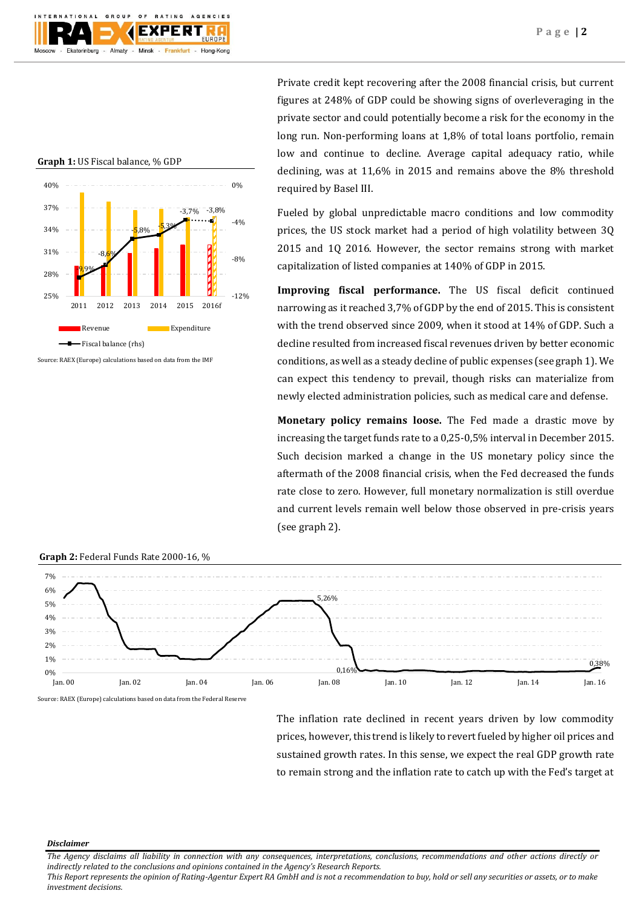

**Graph 1:** US Fiscal balance, % GDP



Source: RAEX (Europe) calculations based on data from the IMF

Private credit kept recovering after the 2008 financial crisis, but current figures at 248% of GDP could be showing signs of overleveraging in the private sector and could potentially become a risk for the economy in the long run. Non-performing loans at 1,8% of total loans portfolio, remain low and continue to decline. Average capital adequacy ratio, while declining, was at 11,6% in 2015 and remains above the 8% threshold required by Basel III.

Fueled by global unpredictable macro conditions and low commodity prices, the US stock market had a period of high volatility between 3Q 2015 and 1Q 2016. However, the sector remains strong with market capitalization of listed companies at 140% of GDP in 2015.

**Improving fiscal performance.** The US fiscal deficit continued narrowing as it reached 3,7% of GDP by the end of 2015. This is consistent with the trend observed since 2009, when it stood at 14% of GDP. Such a decline resulted from increased fiscal revenues driven by better economic conditions, as well as a steady decline of public expenses (see graph 1). We can expect this tendency to prevail, though risks can materialize from newly elected administration policies, such as medical care and defense.

**Monetary policy remains loose.** The Fed made a drastic move by increasing the target funds rate to a 0,25-0,5% interval in December 2015. Such decision marked a change in the US monetary policy since the aftermath of the 2008 financial crisis, when the Fed decreased the funds rate close to zero. However, full monetary normalization is still overdue and current levels remain well below those observed in pre-crisis years (see graph 2).



**Graph 2:** Federal Funds Rate 2000-16, %

Source: RAEX (Europe) calculations based on data from the Federal Reserve

The inflation rate declined in recent years driven by low commodity prices, however, this trend is likely to revert fueled by higher oil prices and sustained growth rates. In this sense, we expect the real GDP growth rate to remain strong and the inflation rate to catch up with the Fed's target at

*Disclaimer* 

*The Agency disclaims all liability in connection with any consequences, interpretations, conclusions, recommendations and other actions directly or indirectly related to the conclusions and opinions contained in the Agency's Research Reports.*

*This Report represents the opinion of Rating-Agentur Expert RA GmbH and is not a recommendation to buy, hold or sell any securities or assets, or to make investment decisions.*